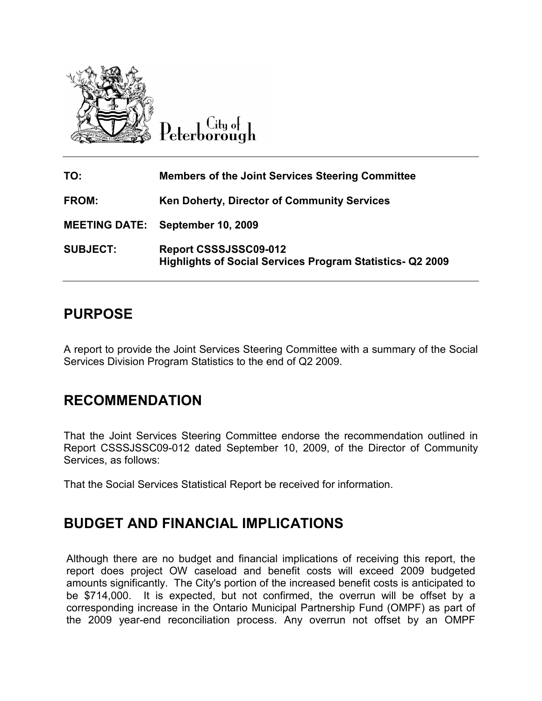

Citu o<del>l</del> Peterborough

| TO:             | <b>Members of the Joint Services Steering Committee</b>                                   |
|-----------------|-------------------------------------------------------------------------------------------|
| <b>FROM:</b>    | <b>Ken Doherty, Director of Community Services</b>                                        |
|                 | <b>MEETING DATE: September 10, 2009</b>                                                   |
| <b>SUBJECT:</b> | Report CSSSJSSC09-012<br><b>Highlights of Social Services Program Statistics- Q2 2009</b> |

## PURPOSE

A report to provide the Joint Services Steering Committee with a summary of the Social Services Division Program Statistics to the end of Q2 2009.

## RECOMMENDATION

That the Joint Services Steering Committee endorse the recommendation outlined in Report CSSSJSSC09-012 dated September 10, 2009, of the Director of Community Services, as follows:

That the Social Services Statistical Report be received for information.

### BUDGET AND FINANCIAL IMPLICATIONS

Although there are no budget and financial implications of receiving this report, the report does project OW caseload and benefit costs will exceed 2009 budgeted amounts significantly. The City's portion of the increased benefit costs is anticipated to be \$714,000. It is expected, but not confirmed, the overrun will be offset by a corresponding increase in the Ontario Municipal Partnership Fund (OMPF) as part of the 2009 year-end reconciliation process. Any overrun not offset by an OMPF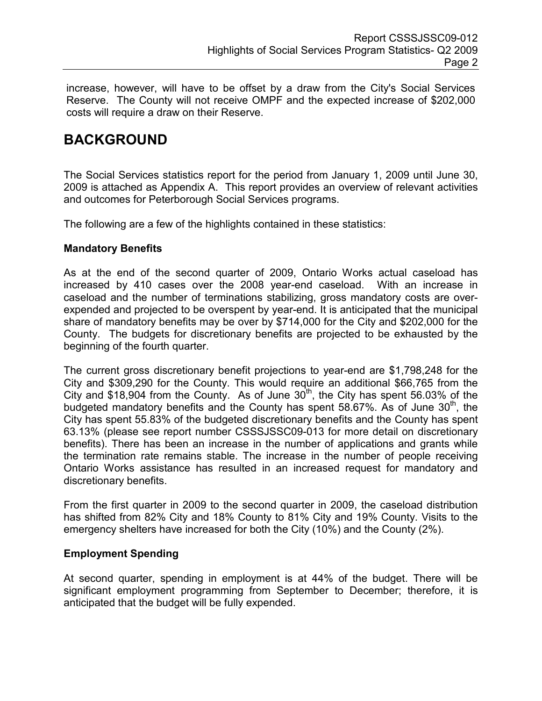increase, however, will have to be offset by a draw from the City's Social Services Reserve. The County will not receive OMPF and the expected increase of \$202,000 costs will require a draw on their Reserve.

# BACKGROUND

The Social Services statistics report for the period from January 1, 2009 until June 30, 2009 is attached as Appendix A. This report provides an overview of relevant activities and outcomes for Peterborough Social Services programs.

The following are a few of the highlights contained in these statistics:

#### Mandatory Benefits

As at the end of the second quarter of 2009, Ontario Works actual caseload has increased by 410 cases over the 2008 year-end caseload. With an increase in caseload and the number of terminations stabilizing, gross mandatory costs are overexpended and projected to be overspent by year-end. It is anticipated that the municipal share of mandatory benefits may be over by \$714,000 for the City and \$202,000 for the County. The budgets for discretionary benefits are projected to be exhausted by the beginning of the fourth quarter.

The current gross discretionary benefit projections to year-end are \$1,798,248 for the City and \$309,290 for the County. This would require an additional \$66,765 from the City and \$18,904 from the County. As of June  $30<sup>th</sup>$ , the City has spent 56.03% of the budgeted mandatory benefits and the County has spent  $58.67\%$ . As of June  $30<sup>th</sup>$ , the City has spent 55.83% of the budgeted discretionary benefits and the County has spent 63.13% (please see report number CSSSJSSC09-013 for more detail on discretionary benefits). There has been an increase in the number of applications and grants while the termination rate remains stable. The increase in the number of people receiving Ontario Works assistance has resulted in an increased request for mandatory and discretionary benefits.

From the first quarter in 2009 to the second quarter in 2009, the caseload distribution has shifted from 82% City and 18% County to 81% City and 19% County. Visits to the emergency shelters have increased for both the City (10%) and the County (2%).

#### Employment Spending

At second quarter, spending in employment is at 44% of the budget. There will be significant employment programming from September to December; therefore, it is anticipated that the budget will be fully expended.